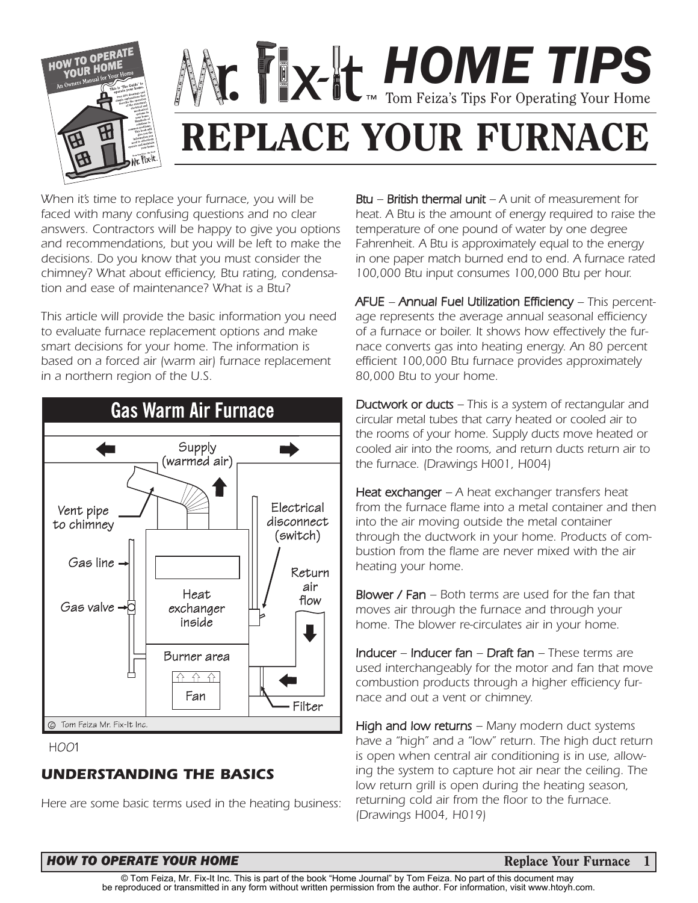

# *HOME TIPS* Tom Feiza's Tips For Operating Your Home **REPLACE YOUR FURNACE**

*When it's time to replace your furnace, you will be faced with many confusing questions and no clear answers. Contractors will be happy to give you options and recommendations, but you will be left to make the decisions. Do you know that you must consider the chimney? What about efficiency, Btu rating, condensation and ease of maintenance? What is a Btu?*

*This article will provide the basic information you need to evaluate furnace replacement options and make smart decisions for your home. The information is based on a forced air (warm air) furnace replacement in a northern region of the U.S.*



HOO1

# *UNDERSTANDING THE BASICS*

*Here are some basic terms used in the heating business:*

*Btu – British thermal unit – A unit of measurement for heat. A Btu is the amount of energy required to raise the temperature of one pound of water by one degree Fahrenheit. A Btu is approximately equal to the energy in one paper match burned end to end. A furnace rated 100,000 Btu input consumes 100,000 Btu per hour.*

*AFUE – Annual Fuel Utilization Efficiency – This percentage represents the average annual seasonal efficiency of a furnace or boiler. It shows how effectively the furnace converts gas into heating energy. An 80 percent efficient 100,000 Btu furnace provides approximately 80,000 Btu to your home.*

*Ductwork or ducts – This is a system of rectangular and circular metal tubes that carry heated or cooled air to the rooms of your home. Supply ducts move heated or cooled air into the rooms, and return ducts return air to the furnace. (Drawings H001, H004)*

*Heat exchanger – A heat exchanger transfers heat from the furnace flame into a metal container and then into the air moving outside the metal container through the ductwork in your home. Products of combustion from the flame are never mixed with the air heating your home.*

*Blower / Fan – Both terms are used for the fan that moves air through the furnace and through your home. The blower re-circulates air in your home.*

*Inducer – Inducer fan – Draft fan – These terms are used interchangeably for the motor and fan that move combustion products through a higher efficiency furnace and out a vent or chimney.* 

*High and low returns – Many modern duct systems have a "high" and a "low" return. The high duct return is open when central air conditioning is in use, allowing the system to capture hot air near the ceiling. The low return grill is open during the heating season, returning cold air from the floor to the furnace. (Drawings H004, H019)*

#### **HOW TO OPERATE YOUR HOME Replace Your Furnace Replace Your Furnace**

**1**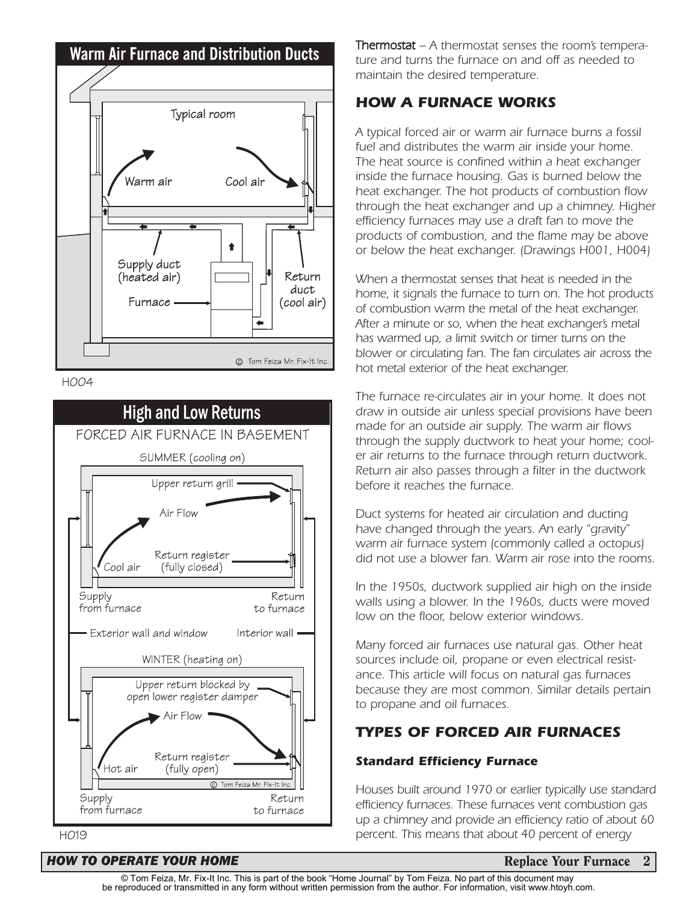





*Thermostat – A thermostat senses the room's temperature and turns the furnace on and off as needed to maintain the desired temperature.* 

#### *HOW A FURNACE WORKS*

*A typical forced air or warm air furnace burns a fossil fuel and distributes the warm air inside your home. The heat source is confined within a heat exchanger inside the furnace housing. Gas is burned below the heat exchanger. The hot products of combustion flow through the heat exchanger and up a chimney. Higher efficiency furnaces may use a draft fan to move the products of combustion, and the flame may be above or below the heat exchanger. (Drawings H001, H004)*

*When a thermostat senses that heat is needed in the home, it signals the furnace to turn on. The hot products of combustion warm the metal of the heat exchanger. After a minute or so, when the heat exchanger's metal has warmed up, a limit switch or timer turns on the blower or circulating fan. The fan circulates air across the hot metal exterior of the heat exchanger.* 

*The furnace re-circulates air in your home. It does not draw in outside air unless special provisions have been made for an outside air supply. The warm air flows through the supply ductwork to heat your home; cooler air returns to the furnace through return ductwork. Return air also passes through a filter in the ductwork before it reaches the furnace.*

*Duct systems for heated air circulation and ducting have changed through the years. An early "gravity" warm air furnace system (commonly called a octopus) did not use a blower fan. Warm air rose into the rooms.* 

*In the 1950s, ductwork supplied air high on the inside walls using a blower. In the 1960s, ducts were moved low on the floor, below exterior windows.* 

*Many forced air furnaces use natural gas. Other heat sources include oil, propane or even electrical resistance. This article will focus on natural gas furnaces because they are most common. Similar details pertain to propane and oil furnaces.*

# *TYPES OF FORCED AIR FURNACES*

#### *Standard Efficiency Furnace*

*Houses built around 1970 or earlier typically use standard efficiency furnaces. These furnaces vent combustion gas up a chimney and provide an efficiency ratio of about 60 percent. This means that about 40 percent of energy*

#### HO19

#### *HOW TO OPERATE YOUR HOME* **Replace Your Furnace 2**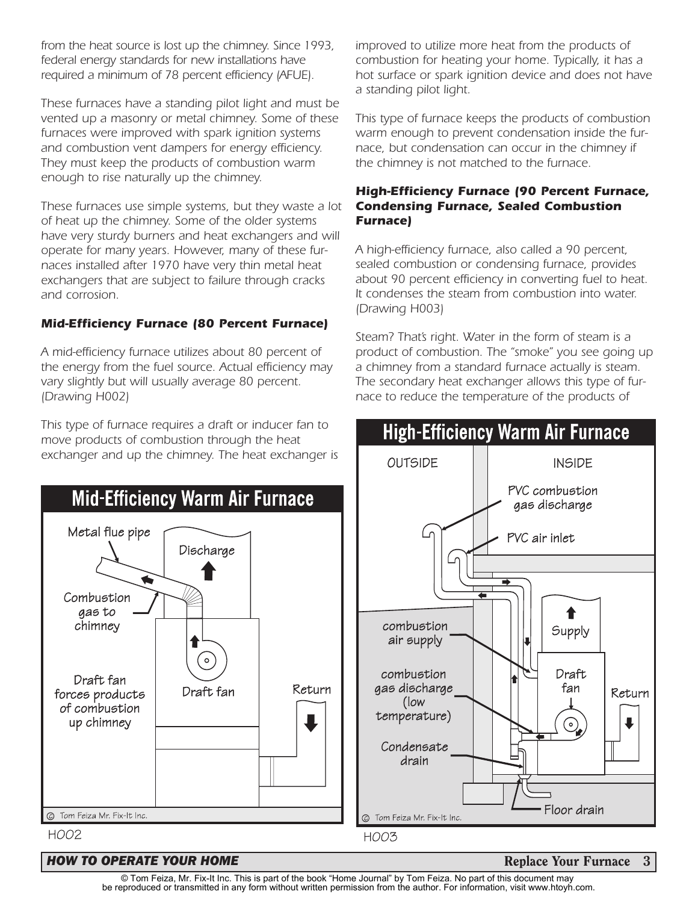*from the heat source is lost up the chimney. Since 1993, federal energy standards for new installations have required a minimum of 78 percent efficiency (AFUE).* 

*These furnaces have a standing pilot light and must be vented up a masonry or metal chimney. Some of these furnaces were improved with spark ignition systems and combustion vent dampers for energy efficiency. They must keep the products of combustion warm enough to rise naturally up the chimney.* 

*These furnaces use simple systems, but they waste a lot of heat up the chimney. Some of the older systems have very sturdy burners and heat exchangers and will operate for many years. However, many of these furnaces installed after 1970 have very thin metal heat exchangers that are subject to failure through cracks and corrosion.*

#### *Mid-Efficiency Furnace (80 Percent Furnace)*

*A mid-efficiency furnace utilizes about 80 percent of the energy from the fuel source. Actual efficiency may vary slightly but will usually average 80 percent. (Drawing H002)* 

*This type of furnace requires a draft or inducer fan to move products of combustion through the heat exchanger and up the chimney. The heat exchanger is*



*improved to utilize more heat from the products of combustion for heating your home. Typically, it has a hot surface or spark ignition device and does not have a standing pilot light.* 

*This type of furnace keeps the products of combustion warm enough to prevent condensation inside the furnace, but condensation can occur in the chimney if the chimney is not matched to the furnace.*

#### *High-Efficiency Furnace (90 Percent Furnace, Condensing Furnace, Sealed Combustion Furnace)*

*A high-efficiency furnace, also called a 90 percent, sealed combustion or condensing furnace, provides about 90 percent efficiency in converting fuel to heat. It condenses the steam from combustion into water. (Drawing H003)* 

*Steam? That's right. Water in the form of steam is a product of combustion. The "smoke" you see going up a chimney from a standard furnace actually is steam. The secondary heat exchanger allows this type of furnace to reduce the temperature of the products of*



#### **HOW TO OPERATE YOUR HOME Replace Your Furnace 3**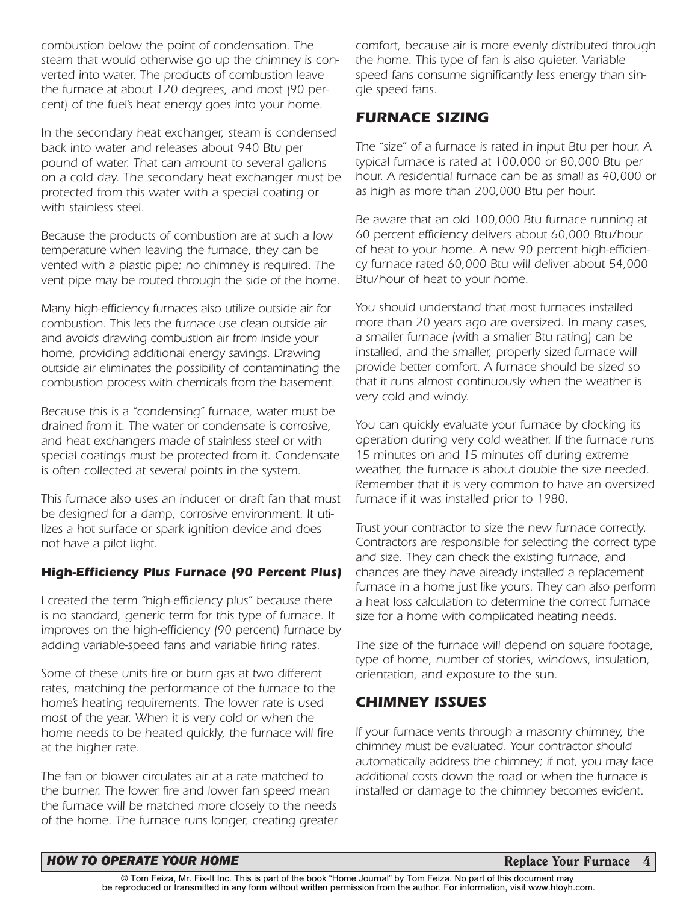*combustion below the point of condensation. The steam that would otherwise go up the chimney is converted into water. The products of combustion leave the furnace at about 120 degrees, and most (90 percent) of the fuel's heat energy goes into your home.* 

*In the secondary heat exchanger, steam is condensed back into water and releases about 940 Btu per pound of water. That can amount to several gallons on a cold day. The secondary heat exchanger must be protected from this water with a special coating or with stainless steel.*

*Because the products of combustion are at such a low temperature when leaving the furnace, they can be vented with a plastic pipe; no chimney is required. The vent pipe may be routed through the side of the home.* 

*Many high-efficiency furnaces also utilize outside air for combustion. This lets the furnace use clean outside air and avoids drawing combustion air from inside your home, providing additional energy savings. Drawing outside air eliminates the possibility of contaminating the combustion process with chemicals from the basement.*

*Because this is a "condensing" furnace, water must be drained from it. The water or condensate is corrosive, and heat exchangers made of stainless steel or with special coatings must be protected from it. Condensate is often collected at several points in the system.*

*This furnace also uses an inducer or draft fan that must be designed for a damp, corrosive environment. It utilizes a hot surface or spark ignition device and does not have a pilot light.*

#### *High-Efficiency Plus Furnace (90 Percent Plus)*

*I created the term "high-efficiency plus" because there is no standard, generic term for this type of furnace. It improves on the high-efficiency (90 percent) furnace by adding variable-speed fans and variable firing rates.*

*Some of these units fire or burn gas at two different rates, matching the performance of the furnace to the home's heating requirements. The lower rate is used most of the year. When it is very cold or when the home needs to be heated quickly, the furnace will fire at the higher rate.*

*The fan or blower circulates air at a rate matched to the burner. The lower fire and lower fan speed mean the furnace will be matched more closely to the needs of the home. The furnace runs longer, creating greater* *comfort, because air is more evenly distributed through the home. This type of fan is also quieter. Variable speed fans consume significantly less energy than single speed fans.* 

### *FURNACE SIZING*

*The "size" of a furnace is rated in input Btu per hour. A typical furnace is rated at 100,000 or 80,000 Btu per hour. A residential furnace can be as small as 40,000 or as high as more than 200,000 Btu per hour.* 

*Be aware that an old 100,000 Btu furnace running at 60 percent efficiency delivers about 60,000 Btu/hour of heat to your home. A new 90 percent high-efficiency furnace rated 60,000 Btu will deliver about 54,000 Btu/hour of heat to your home.*

*You should understand that most furnaces installed more than 20 years ago are oversized. In many cases, a smaller furnace (with a smaller Btu rating) can be installed, and the smaller, properly sized furnace will provide better comfort. A furnace should be sized so that it runs almost continuously when the weather is very cold and windy.*

*You can quickly evaluate your furnace by clocking its operation during very cold weather. If the furnace runs 15 minutes on and 15 minutes off during extreme weather, the furnace is about double the size needed. Remember that it is very common to have an oversized furnace if it was installed prior to 1980.*

*Trust your contractor to size the new furnace correctly. Contractors are responsible for selecting the correct type and size. They can check the existing furnace, and chances are they have already installed a replacement furnace in a home just like yours. They can also perform a heat loss calculation to determine the correct furnace size for a home with complicated heating needs.* 

*The size of the furnace will depend on square footage, type of home, number of stories, windows, insulation, orientation, and exposure to the sun.*

# *CHIMNEY ISSUES*

*If your furnace vents through a masonry chimney, the chimney must be evaluated. Your contractor should automatically address the chimney; if not, you may face additional costs down the road or when the furnace is installed or damage to the chimney becomes evident.*

#### *HOW TO OPERATE YOUR HOME* **Replace Your Furnace 4**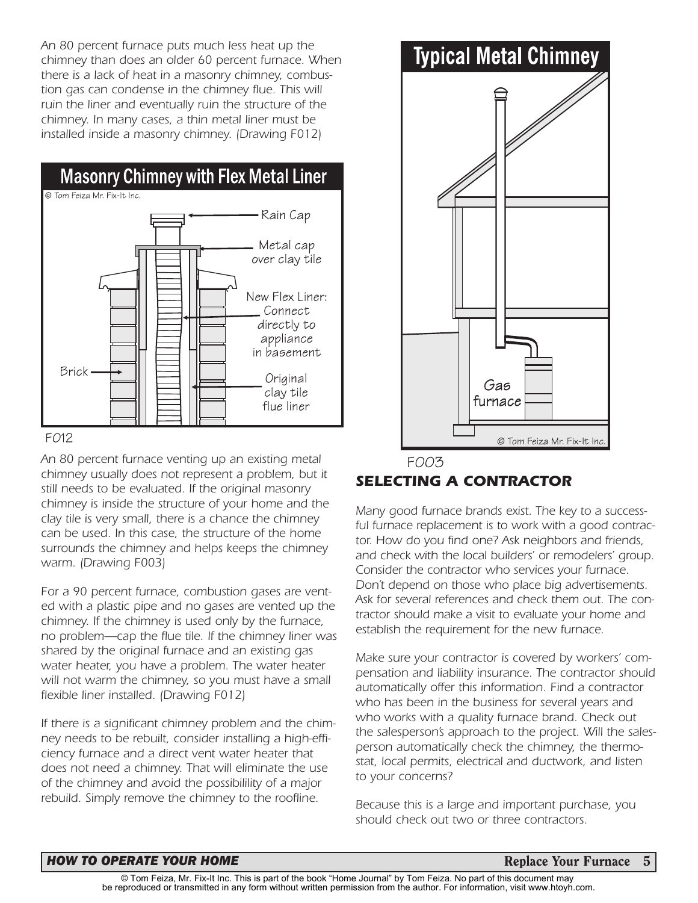*An 80 percent furnace puts much less heat up the chimney than does an older 60 percent furnace. When there is a lack of heat in a masonry chimney, combustion gas can condense in the chimney flue. This will ruin the liner and eventually ruin the structure of the chimney. In many cases, a thin metal liner must be installed inside a masonry chimney. (Drawing F012)*



#### FO12

*An 80 percent furnace venting up an existing metal chimney usually does not represent a problem, but it still needs to be evaluated. If the original masonry chimney is inside the structure of your home and the clay tile is very small, there is a chance the chimney can be used. In this case, the structure of the home surrounds the chimney and helps keeps the chimney warm. (Drawing F003)*

*For a 90 percent furnace, combustion gases are vented with a plastic pipe and no gases are vented up the chimney. If the chimney is used only by the furnace, no problem—cap the flue tile. If the chimney liner was shared by the original furnace and an existing gas water heater, you have a problem. The water heater will not warm the chimney, so you must have a small flexible liner installed. (Drawing F012)*

*If there is a significant chimney problem and the chimney needs to be rebuilt, consider installing a high-efficiency furnace and a direct vent water heater that does not need a chimney. That will eliminate the use of the chimney and avoid the possibilility of a major rebuild. Simply remove the chimney to the roofline.*



# *SELECTING A CONTRACTOR*

*Many good furnace brands exist. The key to a successful furnace replacement is to work with a good contractor. How do you find one? Ask neighbors and friends, and check with the local builders' or remodelers' group. Consider the contractor who services your furnace. Don't depend on those who place big advertisements. Ask for several references and check them out. The contractor should make a visit to evaluate your home and establish the requirement for the new furnace.*

*Make sure your contractor is covered by workers' compensation and liability insurance. The contractor should automatically offer this information. Find a contractor who has been in the business for several years and who works with a quality furnace brand. Check out the salesperson's approach to the project. Will the salesperson automatically check the chimney, the thermostat, local permits, electrical and ductwork, and listen to your concerns?*

*Because this is a large and important purchase, you should check out two or three contractors.*

#### **HOW TO OPERATE YOUR HOME Replace Your Furnace 5**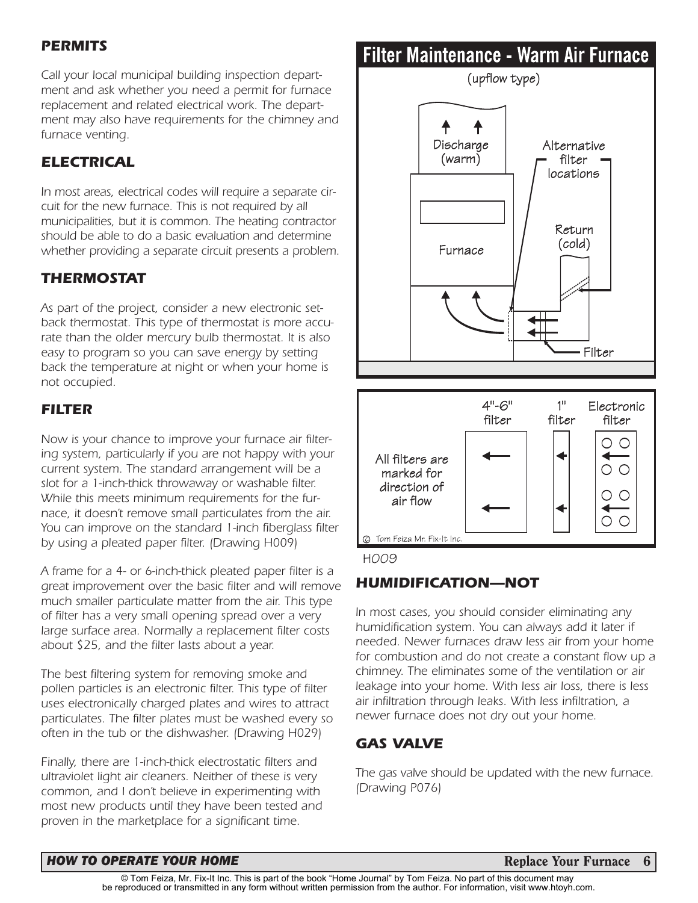# *PERMITS*

*Call your local municipal building inspection department and ask whether you need a permit for furnace replacement and related electrical work. The department may also have requirements for the chimney and furnace venting.*

# *ELECTRICAL*

*In most areas, electrical codes will require a separate circuit for the new furnace. This is not required by all municipalities, but it is common. The heating contractor should be able to do a basic evaluation and determine whether providing a separate circuit presents a problem.*

# *THERMOSTAT*

*As part of the project, consider a new electronic setback thermostat. This type of thermostat is more accurate than the older mercury bulb thermostat. It is also easy to program so you can save energy by setting back the temperature at night or when your home is not occupied.*

# *FILTER*

*Now is your chance to improve your furnace air filtering system, particularly if you are not happy with your current system. The standard arrangement will be a slot for a 1-inch-thick throwaway or washable filter. While this meets minimum requirements for the furnace, it doesn't remove small particulates from the air. You can improve on the standard 1-inch fiberglass filter by using a pleated paper filter. (Drawing H009)*

*A frame for a 4- or 6-inch-thick pleated paper filter is a great improvement over the basic filter and will remove much smaller particulate matter from the air. This type of filter has a very small opening spread over a very large surface area. Normally a replacement filter costs about \$25, and the filter lasts about a year.*

*The best filtering system for removing smoke and pollen particles is an electronic filter. This type of filter uses electronically charged plates and wires to attract particulates. The filter plates must be washed every so often in the tub or the dishwasher. (Drawing H029)*

*Finally, there are 1-inch-thick electrostatic filters and ultraviolet light air cleaners. Neither of these is very common, and I don't believe in experimenting with most new products until they have been tested and proven in the marketplace for a significant time.*

# Filter Maintenance - Warm Air Furnace



**HOO9** 

# *HUMIDIFICATION—NOT*

*In most cases, you should consider eliminating any humidification system. You can always add it later if needed. Newer furnaces draw less air from your home for combustion and do not create a constant flow up a chimney. The eliminates some of the ventilation or air leakage into your home. With less air loss, there is less air infiltration through leaks. With less infiltration, a newer furnace does not dry out your home.*

# *GAS VALVE*

*The gas valve should be updated with the new furnace. (Drawing P076)*

#### *HOW TO OPERATE YOUR HOME* **Replace Your Furnace 6 Replace Your Furnace 6**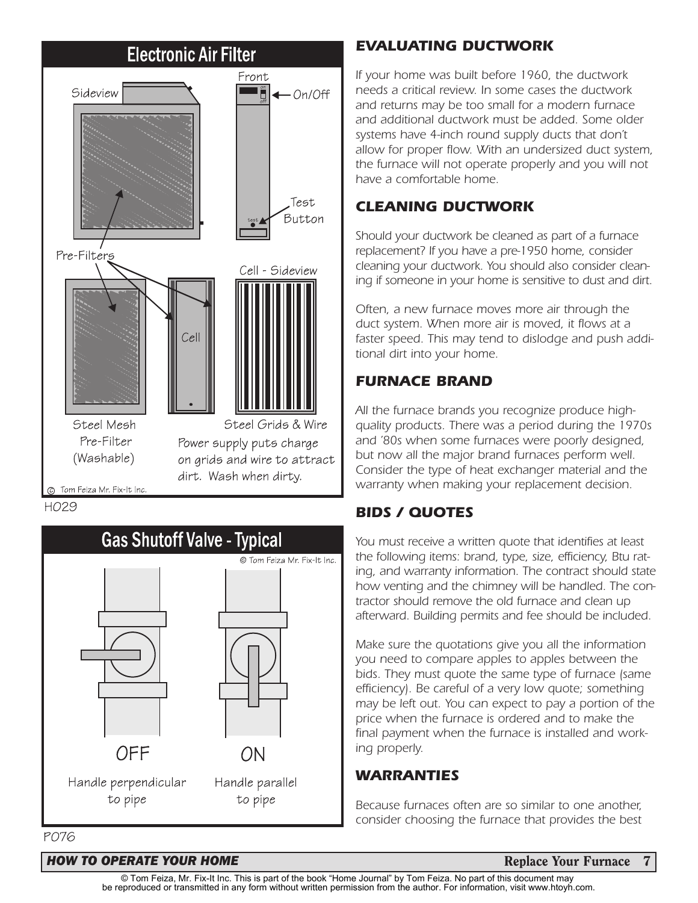

⊙ Tom Feiza Mr. Fix-It Inc.



# *EVALUATING DUCTWORK*

*If your home was built before 1960, the ductwork needs a critical review. In some cases the ductwork and returns may be too small for a modern furnace and additional ductwork must be added. Some older systems have 4-inch round supply ducts that don't allow for proper flow. With an undersized duct system, the furnace will not operate properly and you will not have a comfortable home.*

# *CLEANING DUCTWORK*

*Should your ductwork be cleaned as part of a furnace replacement? If you have a pre-1950 home, consider cleaning your ductwork. You should also consider cleaning if someone in your home is sensitive to dust and dirt.*

*Often, a new furnace moves more air through the duct system. When more air is moved, it flows at a faster speed. This may tend to dislodge and push additional dirt into your home.*

# *FURNACE BRAND*

*All the furnace brands you recognize produce highquality products. There was a period during the 1970s and '80s when some furnaces were poorly designed, but now all the major brand furnaces perform well. Consider the type of heat exchanger material and the warranty when making your replacement decision.*

# *BIDS / QUOTES*

*You must receive a written quote that identifies at least the following items: brand, type, size, efficiency, Btu rating, and warranty information. The contract should state how venting and the chimney will be handled. The contractor should remove the old furnace and clean up afterward. Building permits and fee should be included.*

*Make sure the quotations give you all the information you need to compare apples to apples between the bids. They must quote the same type of furnace (same efficiency). Be careful of a very low quote; something may be left out. You can expect to pay a portion of the price when the furnace is ordered and to make the final payment when the furnace is installed and working properly.*

# *WARRANTIES*

*Because furnaces often are so similar to one another, consider choosing the furnace that provides the best*

#### *HOW TO OPERATE YOUR HOME* **Replace Your Furnace 7 Replace Your Furnace 7**